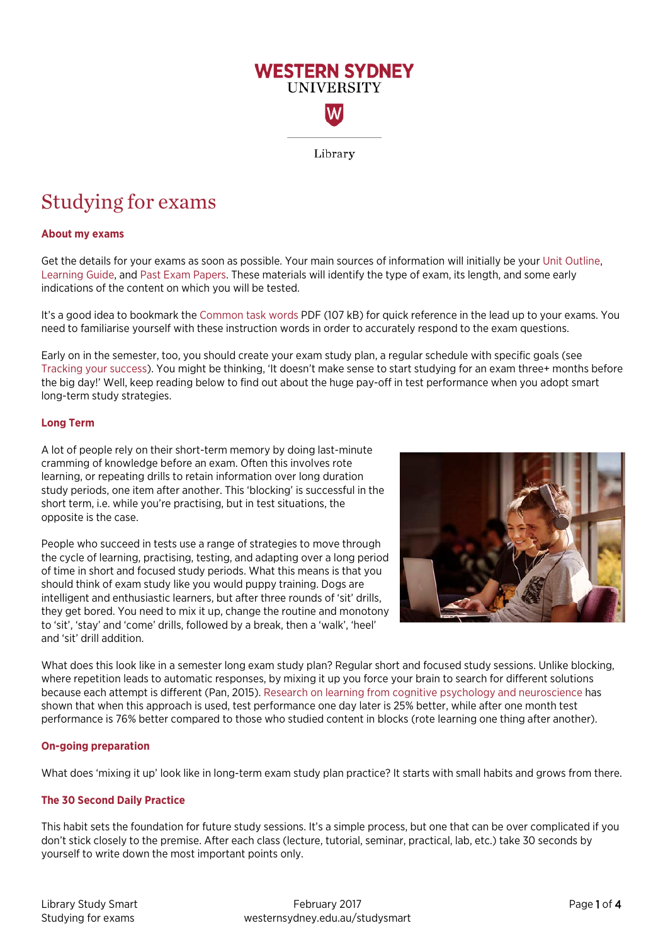

# Studying for exams

# **About my exams**

Get the details for your exams as soon as possible. Your main sources of information will initially be your [Unit Outline](https://library.westernsydney.edu.au/main/resources/unit-outlines)[,](https://library.westernsydney.edu.au/main/resources/learning-guides) [Learning Guide,](https://library.westernsydney.edu.au/main/resources/learning-guides) and Past [Exam Papers.](https://library.westernsydney.edu.au/main/resources/exam-papers) These materials will identify the type of exam, its length, and some early indications of the content on which you will be tested.

It's a good idea to bookmark the [Common task words](https://www.westernsydney.edu.au/__data/assets/pdf_file/0010/1082476/Common_Task_Words.pdf) PDF (107 kB) for quick reference in the lead up to your exams. You need to familiarise yourself with these instruction words in order to accurately respond to the exam questions.

Early on in the semester, too, you should create your exam study plan, a regular schedule with specific goals (see [Tracking your success\)](https://westernsydney.edu.au/studysmart/home/successful_study/tracking_your_success). You might be thinking, 'It doesn't make sense to start studying for an exam three+ months before the big day!' Well, keep reading below to find out about the huge pay-off in test performance when you adopt smart long-term study strategies.

# **Long Term**

A lot of people rely on their short-term memory by doing last-minute cramming of knowledge before an exam. Often this involves rote learning, or repeating drills to retain information over long duration study periods, one item after another. This 'blocking' is successful in the short term, i.e. while you're practising, but in test situations, the opposite is the case.

People who succeed in tests use a range of strategies to move through the cycle of learning, practising, testing, and adapting over a long period of time in short and focused study periods. What this means is that you should think of exam study like you would puppy training. Dogs are intelligent and enthusiastic learners, but after three rounds of 'sit' drills, they get bored. You need to mix it up, change the routine and monotony to 'sit', 'stay' and 'come' drills, followed by a break, then a 'walk', 'heel' and 'sit' drill addition.



What does this look like in a semester long exam study plan? Regular short and focused study sessions. Unlike blocking, where repetition leads to automatic responses, by mixing it up you force your brain to search for different solutions because each attempt is different (Pan, 2015). Research [on learning from cognitive psychology and neuroscience](http://www.scientificamerican.com/article/the-interleaving-effect-mixing-it-up-boosts-learning/) has shown that when this approach is used, test performance one day later is 25% better, while after one month test performance is 76% better compared to those who studied content in blocks (rote learning one thing after another).

# **On-going preparation**

What does 'mixing it up' look like in long-term exam study plan practice? It starts with small habits and grows from there.

# **The 30 Second Daily Practice**

This habit sets the foundation for future study sessions. It's a simple process, but one that can be over complicated if you don't stick closely to the premise. After each class (lecture, tutorial, seminar, practical, lab, etc.) take 30 seconds by yourself to write down the most important points only.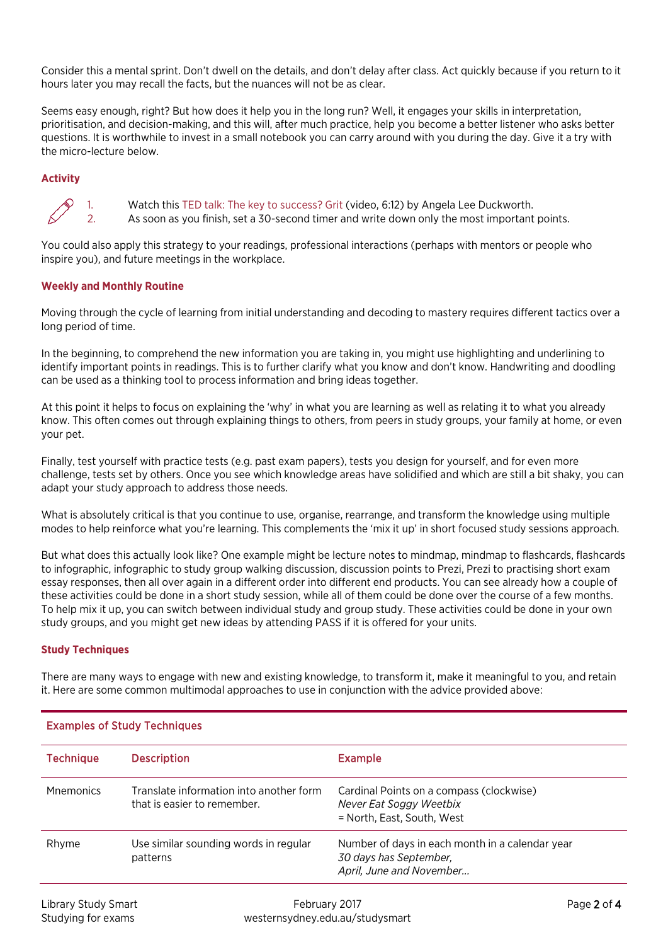Consider this a mental sprint. Don't dwell on the details, and don't delay after class. Act quickly because if you return to it hours later you may recall the facts, but the nuances will not be as clear.

Seems easy enough, right? But how does it help you in the long run? Well, it engages your skills in interpretation, prioritisation, and decision-making, and this will, after much practice, help you become a better listener who asks better questions. It is worthwhile to invest in a small notebook you can carry around with you during the day. Give it a try with the micro-lecture below.

# **Activity**



1. Watch this [TED talk: The key to success? Grit](https://youtu.be/H14bBuluwB8) (video, 6:12) by Angela Lee Duckworth. As soon as you finish, set a 30-second timer and write down only the most important points.

You could also apply this strategy to your readings, professional interactions (perhaps with mentors or people who inspire you), and future meetings in the workplace.

# **Weekly and Monthly Routine**

Moving through the cycle of learning from initial understanding and decoding to mastery requires different tactics over a long period of time.

In the beginning, to comprehend the new information you are taking in, you might use highlighting and underlining to identify important points in readings. This is to further clarify what you know and don't know. Handwriting and doodling can be used as a thinking tool to process information and bring ideas together.

At this point it helps to focus on explaining the 'why' in what you are learning as well as relating it to what you already know. This often comes out through explaining things to others, from peers in study groups, your family at home, or even your pet.

Finally, test yourself with practice tests (e.g. past exam papers), tests you design for yourself, and for even more challenge, tests set by others. Once you see which knowledge areas have solidified and which are still a bit shaky, you can adapt your study approach to address those needs.

What is absolutely critical is that you continue to use, organise, rearrange, and transform the knowledge using multiple modes to help reinforce what you're learning. This complements the 'mix it up' in short focused study sessions approach.

But what does this actually look like? One example might be lecture notes to mindmap, mindmap to flashcards, flashcards to infographic, infographic to study group walking discussion, discussion points to Prezi, Prezi to practising short exam essay responses, then all over again in a different order into different end products. You can see already how a couple of these activities could be done in a short study session, while all of them could be done over the course of a few months. To help mix it up, you can switch between individual study and group study. These activities could be done in your own study groups, and you might get new ideas by attending PASS if it is offered for your units.

# **Study Techniques**

There are many ways to engage with new and existing knowledge, to transform it, make it meaningful to you, and retain it. Here are some common multimodal approaches to use in conjunction with the advice provided above:

| <b>Technique</b> | <b>Description</b>                                                     | <b>Example</b>                                                                                        |
|------------------|------------------------------------------------------------------------|-------------------------------------------------------------------------------------------------------|
| <b>Mnemonics</b> | Translate information into another form<br>that is easier to remember. | Cardinal Points on a compass (clockwise)<br>Never Eat Soggy Weetbix<br>= North, East, South, West     |
| Rhyme            | Use similar sounding words in regular<br>patterns                      | Number of days in each month in a calendar year<br>30 days has September,<br>April, June and November |

# Examples of Study Techniques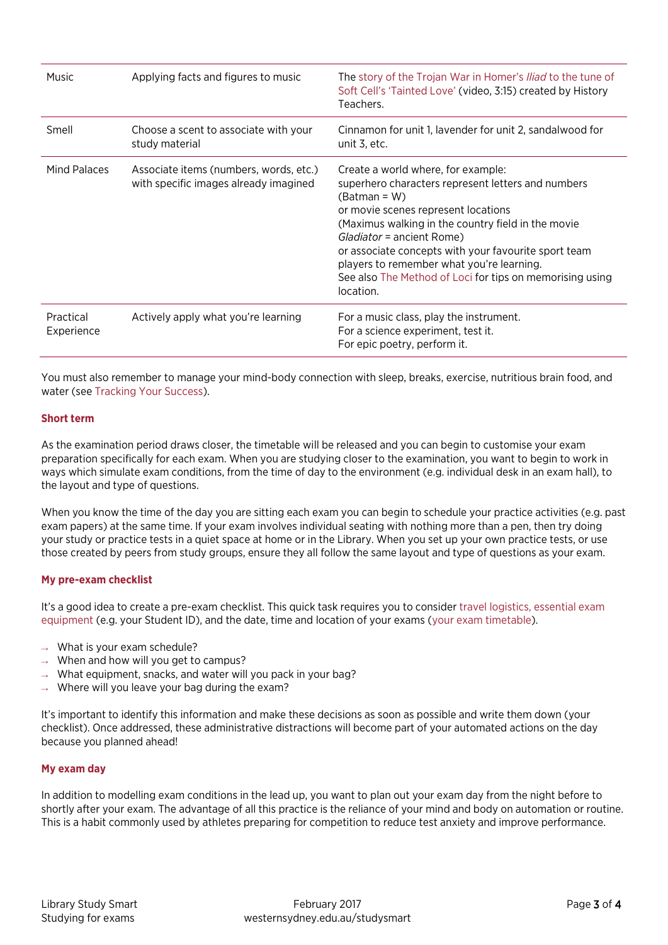| Music                   | Applying facts and figures to music                                             | The story of the Trojan War in Homer's <i>Iliad</i> to the tune of<br>Soft Cell's 'Tainted Love' (video, 3:15) created by History<br>Teachers.                                                                                                                                                                                                                                                                     |
|-------------------------|---------------------------------------------------------------------------------|--------------------------------------------------------------------------------------------------------------------------------------------------------------------------------------------------------------------------------------------------------------------------------------------------------------------------------------------------------------------------------------------------------------------|
| Smell                   | Choose a scent to associate with your<br>study material                         | Cinnamon for unit 1, lavender for unit 2, sandalwood for<br>unit 3, etc.                                                                                                                                                                                                                                                                                                                                           |
| Mind Palaces            | Associate items (numbers, words, etc.)<br>with specific images already imagined | Create a world where, for example:<br>superhero characters represent letters and numbers<br>$(Batman = W)$<br>or movie scenes represent locations<br>(Maximus walking in the country field in the movie<br>Gladiator = ancient Rome)<br>or associate concepts with your favourite sport team<br>players to remember what you're learning.<br>See also The Method of Loci for tips on memorising using<br>location. |
| Practical<br>Experience | Actively apply what you're learning                                             | For a music class, play the instrument.<br>For a science experiment, test it.<br>For epic poetry, perform it.                                                                                                                                                                                                                                                                                                      |

You must also remember to manage your mind-body connection with sleep, breaks, exercise, nutritious brain food, and water (se[e Tracking Your Success\)](https://westernsydney.edu.au/studysmart/home/successful_study/tracking_your_success).

#### **Short term**

As the examination period draws closer, the timetable will be released and you can begin to customise your exam preparation specifically for each exam. When you are studying closer to the examination, you want to begin to work in ways which simulate exam conditions, from the time of day to the environment (e.g. individual desk in an exam hall), to the layout and type of questions.

When you know the time of the day you are sitting each exam you can begin to schedule your practice activities (e.g. past exam papers) at the same time. If your exam involves individual seating with nothing more than a pen, then try doing your study or practice tests in a quiet space at home or in the Library. When you set up your own practice tests, or use those created by peers from study groups, ensure they all follow the same layout and type of questions as your exam.

#### **My pre-exam checklist**

It's a good idea to create a pre-exam checklist. This quick task requires you to conside[r travel logistics,](http://www.westernsydney.edu.au/currentstudents/current_students/exams/travelling_to_exams) [essential exam](http://www.westernsydney.edu.au/currentstudents/current_students/exams/exam_information)  [equipment](http://www.westernsydney.edu.au/currentstudents/current_students/exams/exam_information) (e.g. your Student ID), and the date, time and location of your exams [\(your exam timetable\)](http://www.westernsydney.edu.au/currentstudents/current_students/exams/exam_timetable).

- $\rightarrow$  What is your exam schedule?
- When and how will you get to campus?
- What equipment, snacks, and water will you pack in your bag?
- $\rightarrow$  Where will you leave your bag during the exam?

It's important to identify this information and make these decisions as soon as possible and write them down (your checklist). Once addressed, these administrative distractions will become part of your automated actions on the day because you planned ahead!

#### **My exam day**

In addition to modelling exam conditions in the lead up, you want to plan out your exam day from the night before to shortly after your exam. The advantage of all this practice is the reliance of your mind and body on automation or routine. This is a habit commonly used by athletes preparing for competition to reduce test anxiety and improve performance.